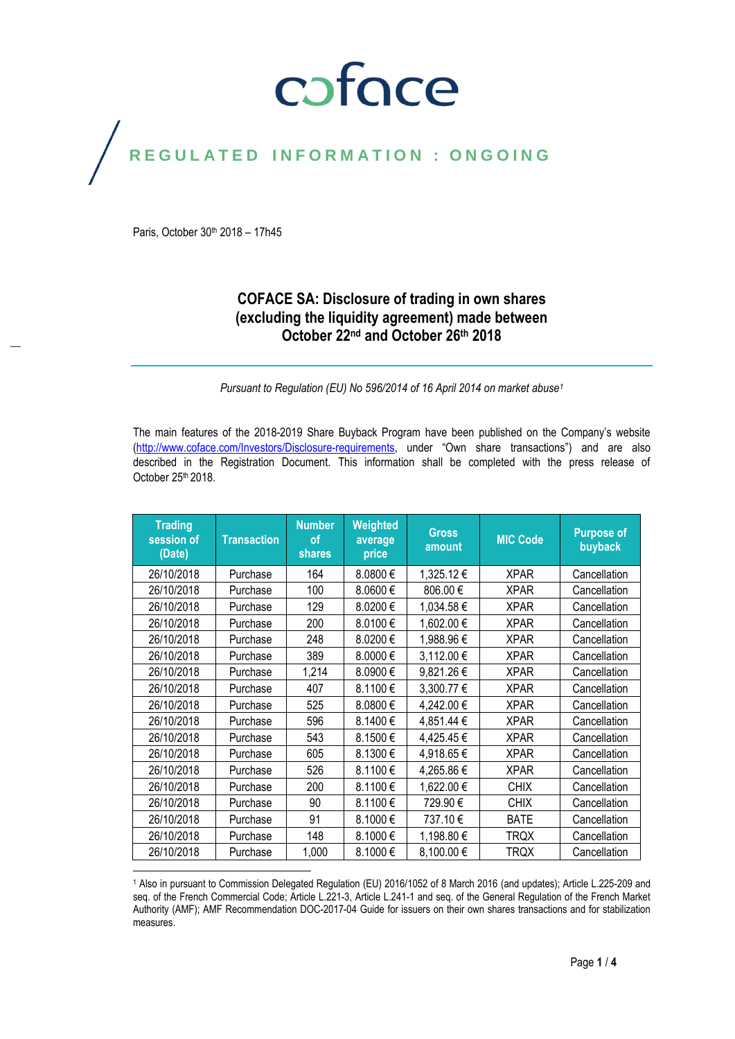# coface

## REGULATED INFORMATION : ONGOING

Paris, October 30<sup>th</sup> 2018 - 17h45

 $\overline{a}$ 

### **COFACE SA: Disclosure of trading in own shares (excluding the liquidity agreement) made between October 22nd and October 26th 2018**

*Pursuant to Regulation (EU) No 596/2014 of 16 April 2014 on market abuse<sup>1</sup>*

The main features of the 2018-2019 Share Buyback Program have been published on the Company's website [\(http://www.coface.com/Investors/Disclosure-requirements](http://www.coface.com/Investors/Disclosure-requirements), under "Own share transactions") and are also described in the Registration Document. This information shall be completed with the press release of October 25<sup>th</sup> 2018.

| <b>Trading</b><br>session of<br>(Date) | <b>Transaction</b> | <b>Number</b><br><b>of</b><br>shares | Weighted<br>average<br>price | <b>Gross</b><br>amount | <b>MIC Code</b> | <b>Purpose of</b><br>buyback |
|----------------------------------------|--------------------|--------------------------------------|------------------------------|------------------------|-----------------|------------------------------|
| 26/10/2018                             | Purchase           | 164                                  | 8.0800€                      | 1,325.12€              | <b>XPAR</b>     | Cancellation                 |
| 26/10/2018                             | Purchase           | 100                                  | 8.0600€                      | 806.00€                | <b>XPAR</b>     | Cancellation                 |
| 26/10/2018                             | Purchase           | 129                                  | 8.0200€                      | 1,034.58€              | <b>XPAR</b>     | Cancellation                 |
| 26/10/2018                             | Purchase           | 200                                  | 8.0100€                      | 1,602.00€              | <b>XPAR</b>     | Cancellation                 |
| 26/10/2018                             | Purchase           | 248                                  | 8.0200€                      | 1,988.96€              | <b>XPAR</b>     | Cancellation                 |
| 26/10/2018                             | Purchase           | 389                                  | 8.0000€                      | 3,112.00 €             | <b>XPAR</b>     | Cancellation                 |
| 26/10/2018                             | Purchase           | 1,214                                | 8.0900€                      | 9,821.26€              | <b>XPAR</b>     | Cancellation                 |
| 26/10/2018                             | Purchase           | 407                                  | 8.1100€                      | 3,300.77 €             | <b>XPAR</b>     | Cancellation                 |
| 26/10/2018                             | Purchase           | 525                                  | 8.0800€                      | 4,242.00 €             | <b>XPAR</b>     | Cancellation                 |
| 26/10/2018                             | Purchase           | 596                                  | 8.1400€                      | 4,851.44 €             | <b>XPAR</b>     | Cancellation                 |
| 26/10/2018                             | Purchase           | 543                                  | 8.1500€                      | 4,425.45€              | <b>XPAR</b>     | Cancellation                 |
| 26/10/2018                             | Purchase           | 605                                  | 8.1300€                      | 4,918.65€              | <b>XPAR</b>     | Cancellation                 |
| 26/10/2018                             | Purchase           | 526                                  | 8.1100€                      | 4,265.86€              | <b>XPAR</b>     | Cancellation                 |
| 26/10/2018                             | Purchase           | 200                                  | 8.1100€                      | 1,622.00 €             | <b>CHIX</b>     | Cancellation                 |
| 26/10/2018                             | Purchase           | 90                                   | 8.1100€                      | 729.90€                | <b>CHIX</b>     | Cancellation                 |
| 26/10/2018                             | Purchase           | 91                                   | 8.1000€                      | 737.10€                | <b>BATE</b>     | Cancellation                 |
| 26/10/2018                             | Purchase           | 148                                  | 8.1000€                      | 1,198.80 €             | <b>TRQX</b>     | Cancellation                 |
| 26/10/2018                             | Purchase           | 1,000                                | 8.1000€                      | 8,100.00€              | <b>TRQX</b>     | Cancellation                 |

<sup>1</sup> Also in pursuant to Commission Delegated Regulation (EU) 2016/1052 of 8 March 2016 (and updates); Article L.225-209 and seq. of the French Commercial Code; Article L.221-3, Article L.241-1 and seq. of the General Regulation of the French Market Authority (AMF); AMF Recommendation DOC-2017-04 Guide for issuers on their own shares transactions and for stabilization measures.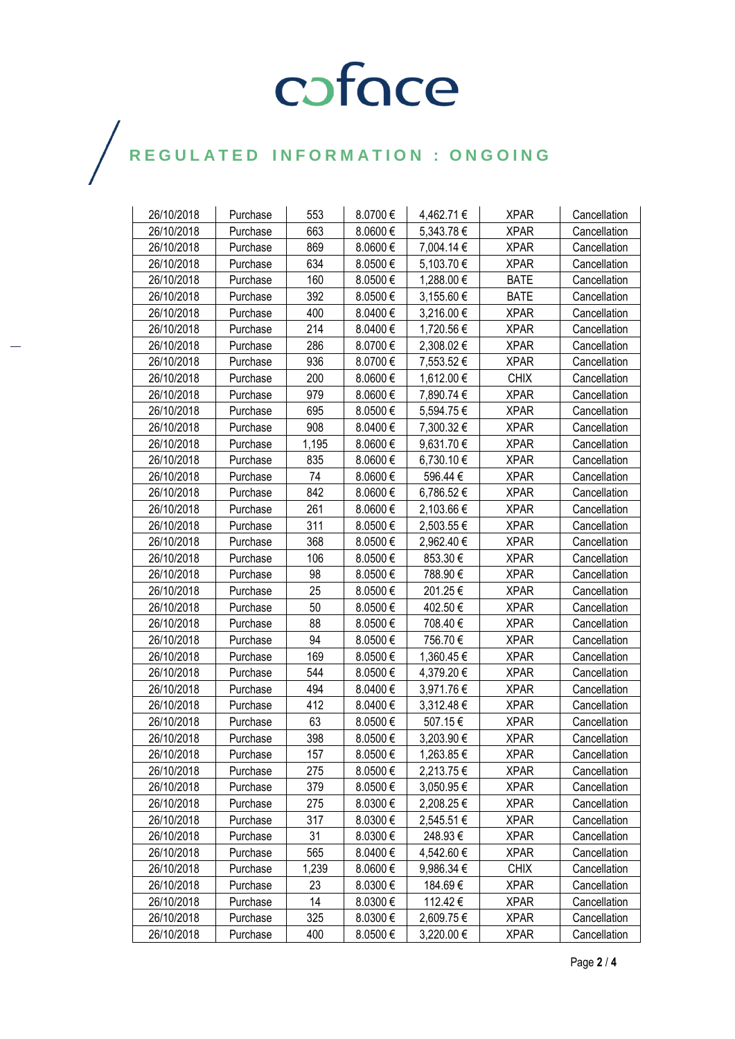# COFOCE

## $\bigg)$

| 26/10/2018 | Purchase | 553   | 8.0700€      | 4,462.71 € | <b>XPAR</b> | Cancellation |
|------------|----------|-------|--------------|------------|-------------|--------------|
| 26/10/2018 | Purchase | 663   | 8.0600€      | 5,343.78€  | <b>XPAR</b> | Cancellation |
| 26/10/2018 | Purchase | 869   | 8.0600€      | 7,004.14 € | <b>XPAR</b> | Cancellation |
| 26/10/2018 | Purchase | 634   | 8.0500€      | 5,103.70 € | <b>XPAR</b> | Cancellation |
| 26/10/2018 | Purchase | 160   | 8.0500€      | 1,288.00 € | <b>BATE</b> | Cancellation |
| 26/10/2018 | Purchase | 392   | 8.0500€      | 3,155.60 € | <b>BATE</b> | Cancellation |
| 26/10/2018 | Purchase | 400   | 8.0400€      | 3,216.00 € | <b>XPAR</b> | Cancellation |
| 26/10/2018 | Purchase | 214   | 8.0400€      | 1,720.56 € | <b>XPAR</b> | Cancellation |
| 26/10/2018 | Purchase | 286   | 8.0700€      | 2,308.02 € | XPAR        | Cancellation |
| 26/10/2018 | Purchase | 936   | 8.0700€      | 7,553.52€  | <b>XPAR</b> | Cancellation |
| 26/10/2018 | Purchase | 200   | 8.0600€      | 1,612.00 € | <b>CHIX</b> | Cancellation |
| 26/10/2018 | Purchase | 979   | 8.0600€      | 7,890.74 € | <b>XPAR</b> | Cancellation |
| 26/10/2018 | Purchase | 695   | 8.0500€      | 5,594.75 € | <b>XPAR</b> | Cancellation |
| 26/10/2018 | Purchase | 908   | 8.0400 €     | 7,300.32 € | <b>XPAR</b> | Cancellation |
| 26/10/2018 | Purchase | 1,195 | 8.0600€      | 9,631.70 € | <b>XPAR</b> | Cancellation |
| 26/10/2018 | Purchase | 835   | 8.0600€      | 6,730.10€  | <b>XPAR</b> | Cancellation |
| 26/10/2018 | Purchase | 74    | $8.0600 \in$ | 596.44€    | <b>XPAR</b> | Cancellation |
| 26/10/2018 | Purchase | 842   | 8.0600€      | 6,786.52€  | <b>XPAR</b> | Cancellation |
| 26/10/2018 | Purchase | 261   | 8.0600€      | 2,103.66 € | <b>XPAR</b> | Cancellation |
| 26/10/2018 | Purchase | 311   | 8.0500€      | 2,503.55€  | <b>XPAR</b> | Cancellation |
| 26/10/2018 | Purchase | 368   | 8.0500€      | 2,962.40 € | <b>XPAR</b> | Cancellation |
| 26/10/2018 | Purchase | 106   | 8.0500€      | 853.30€    | <b>XPAR</b> | Cancellation |
| 26/10/2018 | Purchase | 98    | 8.0500€      | 788.90€    | <b>XPAR</b> | Cancellation |
| 26/10/2018 | Purchase | 25    | 8.0500€      | 201.25€    | <b>XPAR</b> | Cancellation |
| 26/10/2018 | Purchase | 50    | 8.0500€      | 402.50€    | <b>XPAR</b> | Cancellation |
| 26/10/2018 | Purchase | 88    | 8.0500€      | 708.40€    | <b>XPAR</b> | Cancellation |
| 26/10/2018 | Purchase | 94    | 8.0500€      | 756.70€    | <b>XPAR</b> | Cancellation |
| 26/10/2018 | Purchase | 169   | 8.0500€      | 1,360.45 € | <b>XPAR</b> | Cancellation |
| 26/10/2018 | Purchase | 544   | 8.0500€      | 4,379.20 € | <b>XPAR</b> | Cancellation |
| 26/10/2018 | Purchase | 494   | 8.0400€      | 3,971.76€  | <b>XPAR</b> | Cancellation |
| 26/10/2018 | Purchase | 412   | 8.0400€      | 3,312.48€  | <b>XPAR</b> | Cancellation |
| 26/10/2018 | Purchase | 63    | 8.0500€      | 507.15€    | <b>XPAR</b> | Cancellation |
| 26/10/2018 | Purchase | 398   | 8.0500€      | 3,203.90€  | <b>XPAR</b> | Cancellation |
| 26/10/2018 | Purchase | 157   | 8.0500€      | 1,263.85€  | <b>XPAR</b> | Cancellation |
| 26/10/2018 | Purchase | 275   | 8.0500€      | 2,213.75€  | <b>XPAR</b> | Cancellation |
| 26/10/2018 | Purchase | 379   | 8.0500€      | 3,050.95 € | <b>XPAR</b> | Cancellation |
| 26/10/2018 | Purchase | 275   | 8.0300€      | 2,208.25 € | <b>XPAR</b> | Cancellation |
| 26/10/2018 | Purchase | 317   | 8.0300€      | 2,545.51€  | <b>XPAR</b> | Cancellation |
| 26/10/2018 | Purchase | 31    | 8.0300€      | 248.93€    | <b>XPAR</b> | Cancellation |
| 26/10/2018 | Purchase | 565   | 8.0400€      | 4,542.60 € | <b>XPAR</b> | Cancellation |
| 26/10/2018 | Purchase | 1,239 | 8.0600€      | 9,986.34 € | <b>CHIX</b> | Cancellation |
| 26/10/2018 | Purchase | 23    | 8.0300€      | 184.69€    | <b>XPAR</b> | Cancellation |
| 26/10/2018 | Purchase | 14    | 8.0300€      | 112.42€    | <b>XPAR</b> | Cancellation |
| 26/10/2018 | Purchase | 325   | 8.0300 €     | 2,609.75 € | <b>XPAR</b> | Cancellation |
| 26/10/2018 | Purchase | 400   | 8.0500€      | 3,220.00 € | <b>XPAR</b> | Cancellation |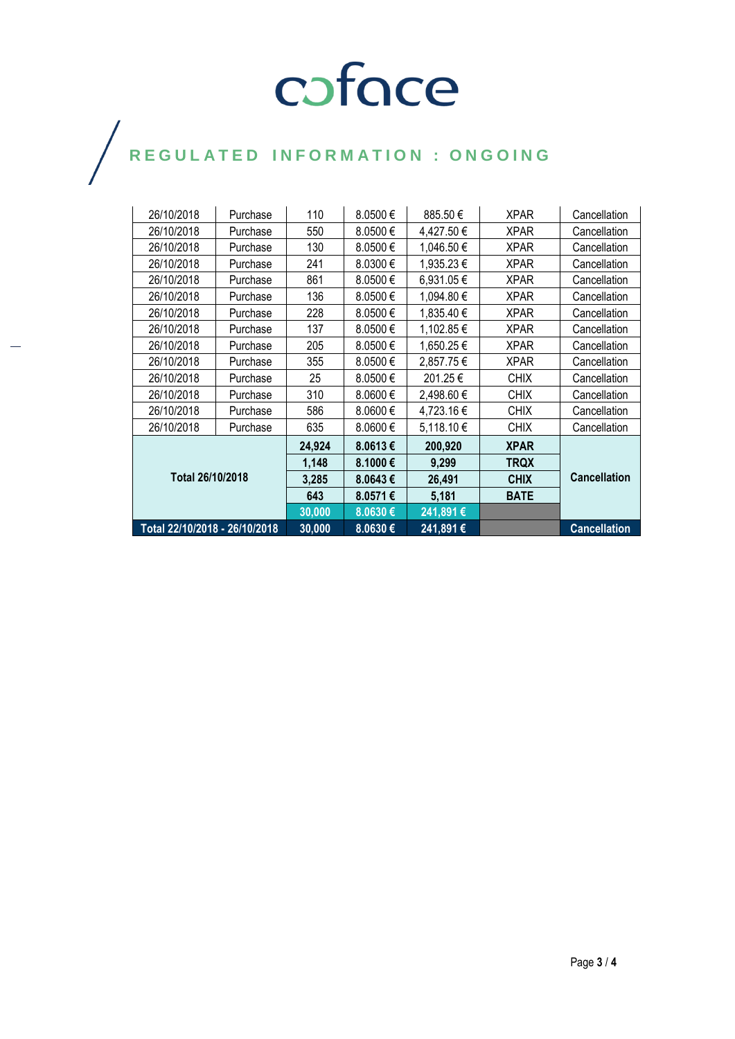# COFOCE

## $\bigg)$

| 26/10/2018                    | Purchase | 110    | 8.0500€ | 885.50€    | <b>XPAR</b> | Cancellation        |
|-------------------------------|----------|--------|---------|------------|-------------|---------------------|
| 26/10/2018                    | Purchase | 550    | 8.0500€ | 4,427.50 € | <b>XPAR</b> | Cancellation        |
| 26/10/2018                    | Purchase | 130    | 8.0500€ | 1,046.50 € | <b>XPAR</b> | Cancellation        |
| 26/10/2018                    | Purchase | 241    | 8.0300€ | 1,935.23€  | <b>XPAR</b> | Cancellation        |
| 26/10/2018                    | Purchase | 861    | 8.0500€ | 6,931.05€  | <b>XPAR</b> | Cancellation        |
| 26/10/2018                    | Purchase | 136    | 8.0500€ | 1,094.80 € | <b>XPAR</b> | Cancellation        |
| 26/10/2018                    | Purchase | 228    | 8.0500€ | 1,835.40 € | <b>XPAR</b> | Cancellation        |
| 26/10/2018                    | Purchase | 137    | 8.0500€ | 1,102.85 € | <b>XPAR</b> | Cancellation        |
| 26/10/2018                    | Purchase | 205    | 8.0500€ | 1,650.25€  | <b>XPAR</b> | Cancellation        |
| 26/10/2018                    | Purchase | 355    | 8.0500€ | 2,857.75€  | <b>XPAR</b> | Cancellation        |
| 26/10/2018                    | Purchase | 25     | 8.0500€ | 201.25€    | <b>CHIX</b> | Cancellation        |
| 26/10/2018                    | Purchase | 310    | 8.0600€ | 2,498.60 € | <b>CHIX</b> | Cancellation        |
| 26/10/2018                    | Purchase | 586    | 8.0600€ | 4,723.16€  | <b>CHIX</b> | Cancellation        |
| 26/10/2018                    | Purchase | 635    | 8.0600€ | 5,118.10€  | <b>CHIX</b> | Cancellation        |
|                               |          | 24,924 | 8.0613€ | 200,920    | <b>XPAR</b> |                     |
| Total 26/10/2018              |          | 1,148  | 8.1000€ | 9,299      | TRQX        | <b>Cancellation</b> |
|                               |          | 3,285  | 8.0643€ | 26,491     | <b>CHIX</b> |                     |
|                               |          | 643    | 8.0571€ | 5,181      | <b>BATE</b> |                     |
|                               |          | 30,000 | 8.0630€ | 241,891€   |             |                     |
| Total 22/10/2018 - 26/10/2018 |          | 30,000 | 8.0630€ | 241,891€   |             | <b>Cancellation</b> |